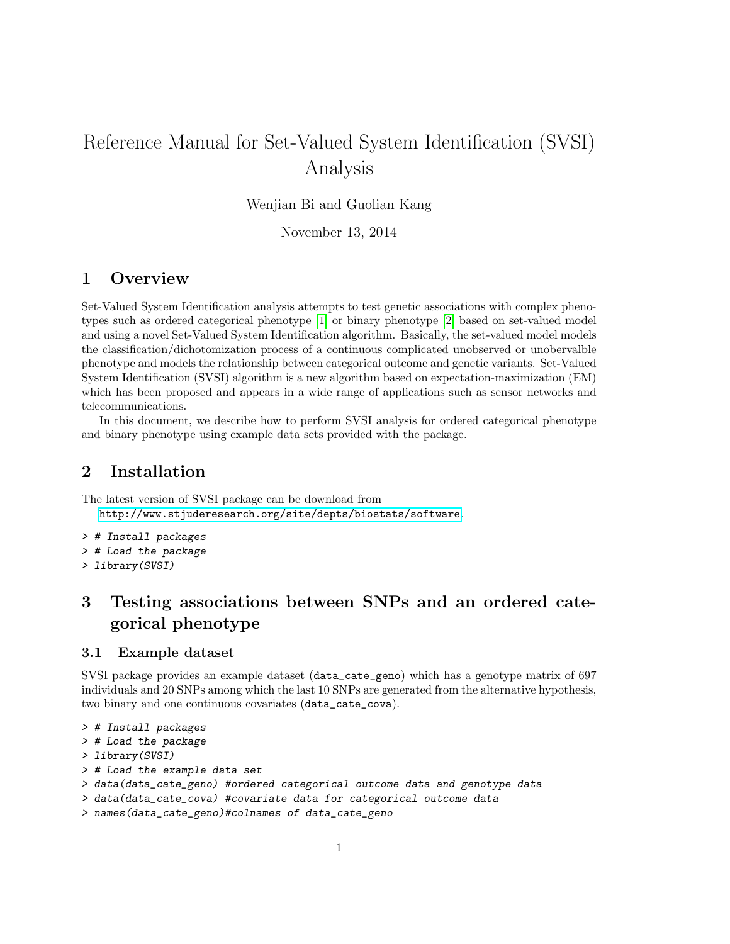# Reference Manual for Set-Valued System Identification (SVSI) Analysis

Wenjian Bi and Guolian Kang

November 13, 2014

## 1 Overview

Set-Valued System Identification analysis attempts to test genetic associations with complex phenotypes such as ordered categorical phenotype [\[1\]](#page-7-0) or binary phenotype [\[2\]](#page-7-1) based on set-valued model and using a novel Set-Valued System Identification algorithm. Basically, the set-valued model models the classification/dichotomization process of a continuous complicated unobserved or unobervalble phenotype and models the relationship between categorical outcome and genetic variants. Set-Valued System Identification (SVSI) algorithm is a new algorithm based on expectation-maximization (EM) which has been proposed and appears in a wide range of applications such as sensor networks and telecommunications.

In this document, we describe how to perform SVSI analysis for ordered categorical phenotype and binary phenotype using example data sets provided with the package.

### 2 Installation

The latest version of SVSI package can be download from <http://www.stjuderesearch.org/site/depts/biostats/software>.

- > # Install packages
- > # Load the package
- > library(SVSI)

## 3 Testing associations between SNPs and an ordered categorical phenotype

### 3.1 Example dataset

SVSI package provides an example dataset (data\_cate\_geno) which has a genotype matrix of 697 individuals and 20 SNPs among which the last 10 SNPs are generated from the alternative hypothesis, two binary and one continuous covariates (data\_cate\_cova).

```
> # Install packages
```

```
> # Load the package
```

```
> library(SVSI)
```
> # Load the example data set

```
> data(data_cate_geno) #ordered categorical outcome data and genotype data
```
> data(data\_cate\_cova) #covariate data for categorical outcome data

```
> names(data_cate_geno)#colnames of data_cate_geno
```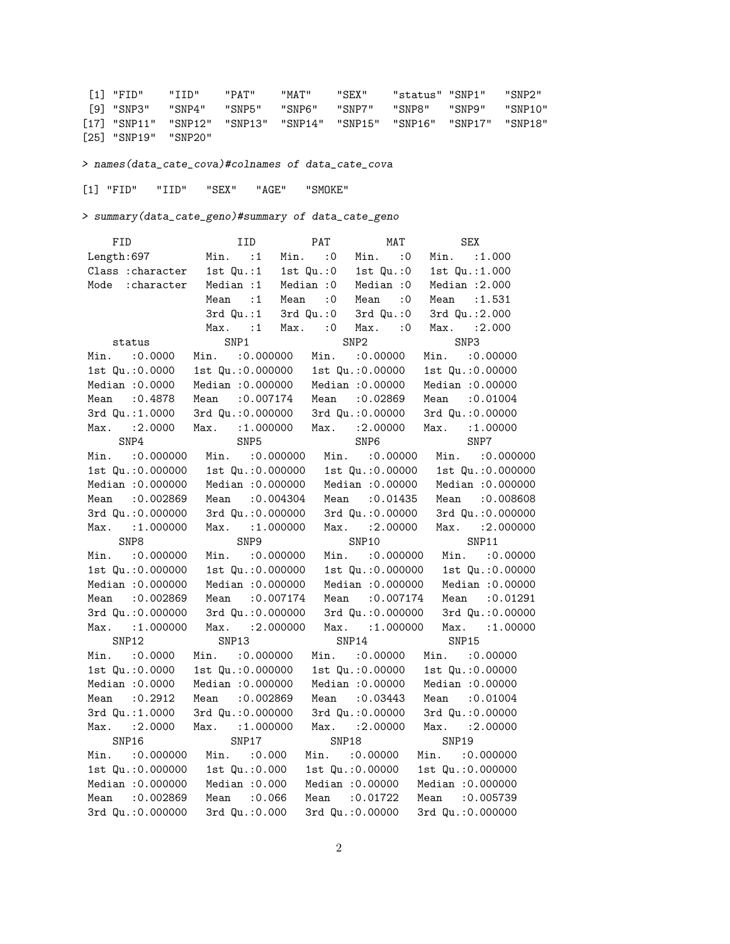[1] "FID" "IID" "PAT" "MAT" "SEX" "status" "SNP1" "SNP2" [9] "SNP3" "SNP4" "SNP5" "SNP6" "SNP7" "SNP8" "SNP9" "SNP10" [17] "SNP11" "SNP12" "SNP13" "SNP14" "SNP15" "SNP16" "SNP17" "SNP18" [25] "SNP19" "SNP20"

> names(data\_cate\_cova)#colnames of data\_cate\_cova

[1] "FID" "IID" "SEX" "AGE" "SMOKE"

> summary(data\_cate\_geno)#summary of data\_cate\_geno

| FID               | IID                | PAT                 | MAT                 | <b>SEX</b>                        |
|-------------------|--------------------|---------------------|---------------------|-----------------------------------|
| Length: 697       | $Min.$ :1          | $Min.$ :0           | $Min.$ :0           | Min. : 1.000                      |
| Class : character | $1st$ $Qu.:1$      |                     |                     | 1st Qu.:0 1st Qu.:0 1st Qu.:1.000 |
| Mode : character  | Median : 1         | Median : 0          | Median : 0          | Median $:2.000$                   |
|                   | Mean : 1           | Mean<br>$\cdot$ : 0 | Mean<br>$\cdot$ : 0 | Mean : 1.531                      |
|                   | $3rd$ $Qu. : 1$    | 3rd Qu.:0           | $3rd$ Qu.: $0$      | 3rd Qu.: 2.000                    |
|                   | $Max.$ :1          | Max. : 0            | $Max.$ :0           | Max. : 2.000                      |
| status            | SNP1               |                     | SNP <sub>2</sub>    | SNP3                              |
| Min. : 0.0000     | Min. : 0.000000    | Min.                | :0.00000            | Min.<br>: 0.00000                 |
| 1st Qu.: 0.0000   | 1st Qu.: 0.000000  |                     | 1st Qu.: 0.00000    | 1st Qu.: 0.00000                  |
| Median : 0.0000   | Median : 0.000000  |                     | Median : 0.00000    | Median : 0.00000                  |
| :0.4878<br>Mean   | : 0.007174<br>Mean | Mean                | :0.02869            | Mean : 0.01004                    |
| 3rd Qu.:1.0000    | 3rd Qu.: 0.000000  |                     | 3rd Qu.: 0.00000    | 3rd Qu.: 0.00000                  |
| Max. : 2.0000     | Max. : 1.000000    |                     | Max. : 2.00000      | Max. : 1.00000                    |
| SNP4              | SNP <sub>5</sub>   |                     | SNP <sub>6</sub>    | SNP7                              |
| Min. : 0.000000   | Min.<br>: 0.000000 |                     | Min. : 0.00000      | Min.<br>:0.000000                 |
| 1st Qu.: 0.000000 | 1st Qu.: 0.000000  |                     | 1st Qu.: 0.00000    | 1st Qu.: 0.000000                 |
| Median : 0.000000 | Median : 0.000000  |                     | Median : 0.00000    | Median : 0.000000                 |
| Mean : 0.002869   | Mean : 0.004304    |                     | Mean : 0.01435      | Mean : 0.008608                   |
| 3rd Qu.: 0.000000 | 3rd Qu.: 0.000000  |                     | 3rd Qu.: 0.00000    | 3rd Qu.: 0.000000                 |
| :1.000000<br>Max. | : 1.000000<br>Max. |                     | $Max.$ : 2.00000    | :2.000000<br>Max.                 |
| SNP8              | SNP <sub>9</sub>   |                     | SNP10               | SNP11                             |
| $Min.$ : 0.000000 | $Min.$ : 0.000000  |                     | $Min.$ : 0.000000   | Min. : 0.00000                    |
| 1st Qu.: 0.000000 | 1st Qu.: 0.000000  |                     | 1st Qu.: 0.000000   | 1st Qu.: 0.00000                  |
| Median : 0.000000 | Median : 0.000000  |                     | Median : 0.000000   | Median : 0.00000                  |
| Mean : 0.002869   | Mean : 0.007174    |                     | Mean : 0.007174     | : 0.01291<br>Mean                 |
| 3rd Qu.: 0.000000 | 3rd Qu.: 0.000000  |                     | 3rd Qu.: 0.000000   | 3rd Qu.: 0.00000                  |
| Max. : 1.000000   | Max. : 2.000000    |                     | Max. : 1.000000     | Max. : 1.00000                    |
| SNP12             | SNP13              |                     | SNP14               | SNP15                             |
| Min. : 0.0000     | Min. : 0.000000    |                     | Min. : 0.00000      | Min. : 0.00000                    |
| 1st Qu.: 0.0000   | 1st Qu.: 0.000000  |                     | 1st Qu.: 0.00000    | 1st Qu.: 0.00000                  |
| Median : 0.0000   | Median : 0.000000  |                     | Median : 0.00000    | Median : 0.00000                  |
| :0.2912<br>Mean   | :0.002869<br>Mean  |                     | Mean : 0.03443      | Mean<br>: 0.01004                 |
| 3rd Qu.: 1.0000   | 3rd Qu.: 0.000000  |                     | 3rd Qu.: 0.00000    | 3rd Qu.: 0.00000                  |
| :2.0000<br>Max.   | Max. : 1.000000    |                     | Max. : 2.00000      | Max. : 2.00000                    |
| SNP16             | SNP17              | SNP18               |                     | SNP19                             |
| Min. : 0.000000   | Min.<br>: 0.000    |                     | Min. : 0.00000      | Min. : 0.000000                   |
| 1st Qu.: 0.000000 | 1st Qu.: 0.000     |                     | 1st Qu.: 0.00000    | 1st Qu.: 0.000000                 |
| Median : 0.000000 | Median : 0.000     |                     | Median : 0.00000    | Median : 0.000000                 |
| :0.002869<br>Mean | Mean<br>:0.066     | Mean                | :0.01722            | Mean : 0.005739                   |
| 3rd Qu.: 0.000000 | 3rd Qu.: 0.000     |                     | 3rd Qu.: 0.00000    | 3rd Qu.: 0.000000                 |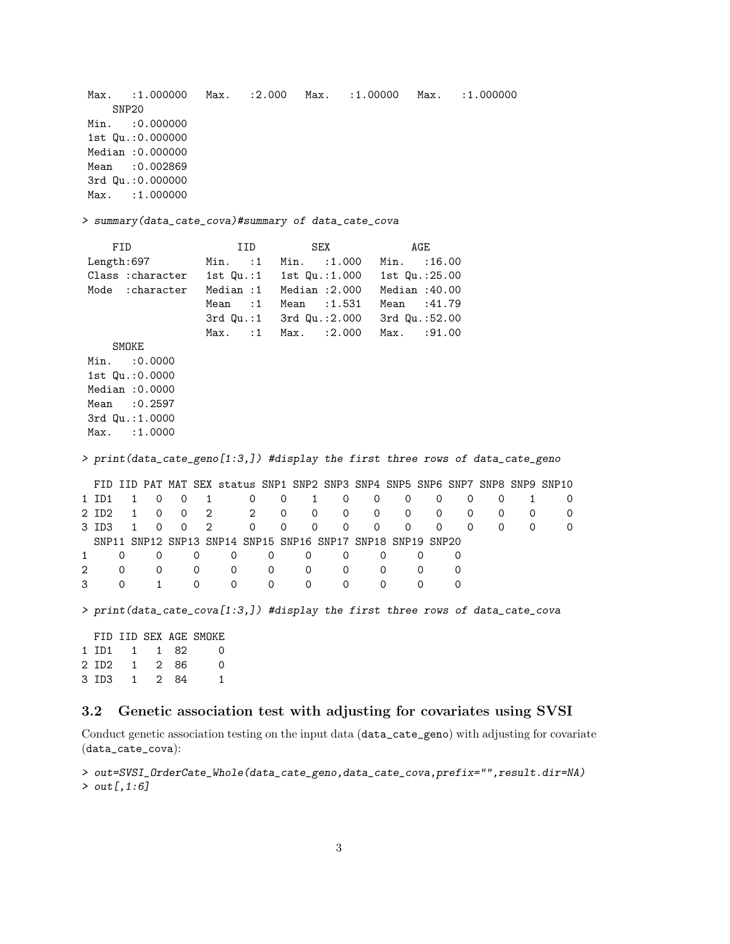Max. :1.000000 Max. :2.000 Max. :1.00000 Max. :1.000000 SNP20 Min. : 0.000000 1st Qu.:0.000000 Median :0.000000 Mean : 0.002869 3rd Qu.:0.000000 Max. : 1.000000 > summary(data\_cate\_cova)#summary of data\_cate\_cova FID IID SEX AGE Length:697 Min. :1 Min. :1.000 Min. :16.00 Class :character 1st Qu.:1 1st Qu.:1.000 1st Qu.:25.00 Mode :character Median :1 Median :2.000 Median :40.00 Mean :1 Mean :1.531 Mean :41.79 3rd Qu.:1 3rd Qu.:2.000 3rd Qu.:52.00 Max. :1 Max. :2.000 Max. :91.00 SMOKE Min. : 0.0000 1st Qu.:0.0000 Median :0.0000 Mean :0.2597 3rd Qu.:1.0000 Max. : 1.0000 > print(data\_cate\_geno[1:3,]) #display the first three rows of data\_cate\_geno FID IID PAT MAT SEX status SNP1 SNP2 SNP3 SNP4 SNP5 SNP6 SNP7 SNP8 SNP9 SNP10 1 ID1 1 0 0 1 0 0 1 0 0 0 0 0 0 1 0 2 ID2 1 0 0 2 2 0 0 0 0 0 0 0 0 0 0 3 ID3 1 0 0 2 0 0 0 0 0 0 0 0 0 0 0 SNP11 SNP12 SNP13 SNP14 SNP15 SNP16 SNP17 SNP18 SNP19 SNP20 1 0 0 0 0 0 0 0 0 0 0 2 0 0 0 0 0 0 0 0 0 0 3 0 1 0 0 0 0 0 0 0 0 > print(data\_cate\_cova[1:3,]) #display the first three rows of data\_cate\_cova FID IID SEX AGE SMOKE 1 ID1 1 1 82 0 2 ID2 1 2 86 0 3 ID3 1 2 84 1

### 3.2 Genetic association test with adjusting for covariates using SVSI

Conduct genetic association testing on the input data (data\_cate\_geno) with adjusting for covariate (data\_cate\_cova):

> out=SVSI\_OrderCate\_Whole(data\_cate\_geno,data\_cate\_cova,prefix="",result.dir=NA) > out[,1:6]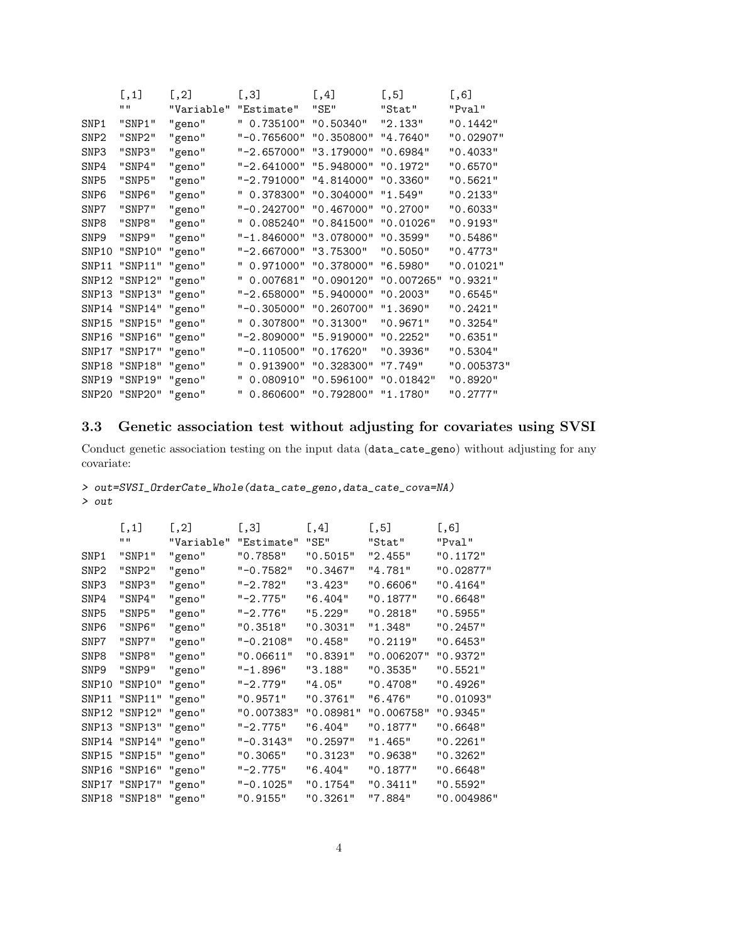|                  | [,1]                 | $\left[1,2\right]$ | [,3]                            | [0, 4]               | $[$ ,5]    | [0,6]      |
|------------------|----------------------|--------------------|---------------------------------|----------------------|------------|------------|
|                  | 11 H                 | "Variable"         | "Estimate"                      | "SE"                 | "Stat"     | "Pval"     |
| SNP1             | "SNP1"               | "geno"             | " 0.735100"                     | "0.50340"            | "2.133"    | "0.1442"   |
| SNP <sub>2</sub> | "SNP2"               | "geno"             | "-0.765600" "0.350800" "4.7640" |                      |            | "0.02907"  |
| SNP3             | "SNP3"               | "geno"             | $" - 2.657000"$                 | "3.179000"           | "0.6984"   | "0.4033"   |
| SNP4             | "SNP4"               | "geno"             | "-2.641000" "5.948000"          |                      | "0.1972"   | "0.6570"   |
| SNP <sub>5</sub> | "SNP5"               | "geno"             | "-2.791000"                     | "4.814000"           | "0.3360"   | "0.5621"   |
| SNP <sub>6</sub> | "SNP6"               | "geno"             | " 0.378300" "0.304000"          |                      | "1.549"    | "0.2133"   |
| SNP7             | "SNP7"               | "geno"             | "-0.242700" "0.467000"          |                      | "0.2700"   | "0.6033"   |
| SNP8             | "SNP8"               | "geno"             | " 0.085240" "0.841500"          |                      | "0.01026"  | "0.9193"   |
| SNP <sub>9</sub> | "SNP9"               | "geno"             | "-1.846000" "3.078000"          |                      | "0.3599"   | "0.5486"   |
| SNP10            | "SNP10"              | "geno"             | $"$ -2.667000"                  | "3.75300"            | "0.5050"   | "0.4773"   |
| SNP11            | "SNP11" "geno"       |                    | " 0.971000" "0.378000"          |                      | "6.5980"   | "0.01021"  |
| SNP12            | "SNP12" "geno"       |                    | " 0.007681" "0.090120"          |                      | "0.007265" | "0.9321"   |
| SNP13            | "SNP13" "geno"       |                    | "-2.658000"                     | "5.940000"           | "0.2003"   | "0.6545"   |
| SNP14            | "SNP14" "geno"       |                    | "-0.305000" "0.260700"          |                      | "1.3690"   | "0.2421"   |
| SNP15            | "SNP15" "geno"       |                    | " 0.307800"                     | "0.31300"            | "0.9671"   | "0.3254"   |
| SNP16            | "SNP16" "geno"       |                    | "-2.809000" "5.919000"          |                      | "0.2252"   | "0.6351"   |
|                  | SNP17 "SNP17" "geno" |                    | $"$ -0.110500"                  | "0.17620"            | "0.3936"   | "0.5304"   |
|                  | SNP18 "SNP18" "geno" |                    |                                 | 0.913900" "0.328300" | "7.749"    | "0.005373" |
|                  | SNP19 "SNP19" "geno" |                    |                                 | 0.080910" "0.596100" | "0.01842"  | "0.8920"   |
|                  | SNP20 "SNP20" "geno" |                    |                                 | 0.860600" "0.792800" | "1.1780"   | "0.2777"   |

### 3.3 Genetic association test without adjusting for covariates using SVSI

Conduct genetic association testing on the input data (data\_cate\_geno) without adjusting for any covariate:

### > out=SVSI\_OrderCate\_Whole(data\_cate\_geno,data\_cate\_cova=NA) > out

|                  | [,1]                 | [0.2]      | [0.3]        | [0.4]     | [0.5]      | [, 6]      |
|------------------|----------------------|------------|--------------|-----------|------------|------------|
|                  | H H                  | "Variable" | "Estimate"   | "SE"      | "Stat"     | "Pval"     |
| SNP1             | "SNP1"               | "geno"     | "0.7858"     | "0.5015"  | "2.455"    | "0.1172"   |
| SNP <sub>2</sub> | "SNP2"               | "geno"     | $"$ -0.7582" | "0.3467"  | "4.781"    | "0.02877"  |
| SNP <sub>3</sub> | "SNP3"               | "geno"     | $" - 2.782"$ | "3.423"   | "0.6606"   | "0.4164"   |
| SNP4             | "SNP4"               | "geno"     | $" -2.775"$  | "6.404"   | "0.1877"   | "0.6648"   |
| SNP <sub>5</sub> | "SNP5"               | "geno"     | $"$ -2.776"  | "5.229"   | "0.2818"   | "0.5955"   |
| SNP <sub>6</sub> | "SNP6"               | "geno"     | "0.3518"     | "0.3031"  | "1.348"    | "0.2457"   |
| SNP7             | "SNP7"               | "geno"     | $" -0.2108"$ | "0.458"   | "0.2119"   | "0.6453"   |
| SNP8             | "SNP8"               | "geno"     | "0.06611"    | "0.8391"  | "0.006207" | "0.9372"   |
| SNP <sub>9</sub> | "SNP9"               | "geno"     | $" - 1.896"$ | "3.188"   | "0.3535"   | "0.5521"   |
| SNP10            | "SNP10"              | "geno"     | "-2.779"     | "4.05"    | "0.4708"   | "0.4926"   |
| SNP11            | "SNP11" "geno"       |            | "0.9571"     | "0.3761"  | "6.476"    | "0.01093"  |
|                  | SNP12 "SNP12" "geno" |            | "0.007383"   | "0.08981" | "0.006758" | "0.9345"   |
|                  | SNP13 "SNP13" "geno" |            | $"$ -2.775"  | "6.404"   | "0.1877"   | "0.6648"   |
|                  | SNP14 "SNP14" "geno" |            | "-0.3143"    | "0.2597"  | "1.465"    | "0.2261"   |
|                  | SNP15 "SNP15" "geno" |            | "0.3065"     | "0.3123"  | "0.9638"   | "0.3262"   |
|                  | SNP16 "SNP16" "geno" |            | $"$ -2.775"  | "6.404"   | "0.1877"   | "0.6648"   |
|                  | SNP17 "SNP17" "geno" |            | $" -0.1025"$ | "0.1754"  | "0.3411"   | "0.5592"   |
|                  | SNP18 "SNP18" "geno" |            | "0.9155"     | "0.3261"  | "7.884"    | "0.004986" |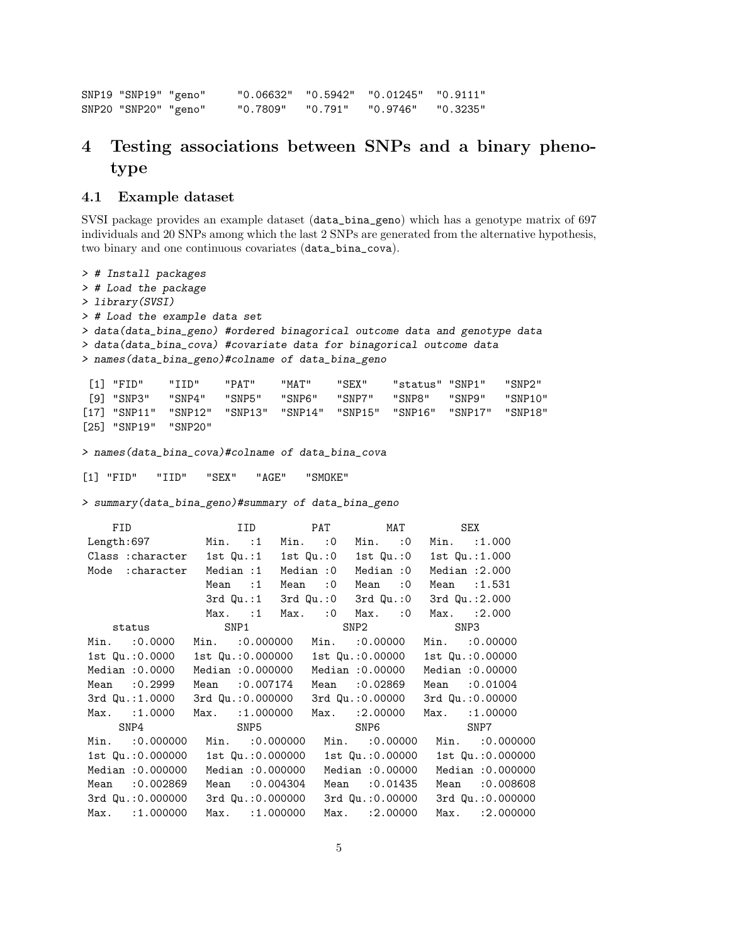SNP19 "SNP19" "geno" "0.06632" "0.5942" "0.01245" "0.9111" SNP20 "SNP20" "geno" "0.7809" "0.791" "0.9746" "0.3235"

## 4 Testing associations between SNPs and a binary phenotype

#### 4.1 Example dataset

> # Install packages

SVSI package provides an example dataset (data\_bina\_geno) which has a genotype matrix of 697 individuals and 20 SNPs among which the last 2 SNPs are generated from the alternative hypothesis, two binary and one continuous covariates (data\_bina\_cova).

> # Load the package > library(SVSI) > # Load the example data set > data(data\_bina\_geno) #ordered binagorical outcome data and genotype data > data(data\_bina\_cova) #covariate data for binagorical outcome data > names(data\_bina\_geno)#colname of data\_bina\_geno [1] "FID" "IID" "PAT" "MAT" "SEX" "status" "SNP1" "SNP2" [9] "SNP3" "SNP4" "SNP5" "SNP6" "SNP7" "SNP8" "SNP9" "SNP10" [17] "SNP11" "SNP12" "SNP13" "SNP14" "SNP15" "SNP16" "SNP17" "SNP18" [25] "SNP19" "SNP20" > names(data\_bina\_cova)#colname of data\_bina\_cova [1] "FID" "IID" "SEX" "AGE" "SMOKE" > summary(data\_bina\_geno)#summary of data\_bina\_geno FID IID PAT MAT SEX Length:697 Min. :1 Min. :0 Min. :0 Min. :1.000 Class :character 1st Qu.:1 1st Qu.:0 1st Qu.:0 1st Qu.:1.000 Mode :character Median :1 Median :0 Median :0 Median :2.000 Mean :1 Mean :0 Mean :0 Mean :1.531 3rd Qu.:1 3rd Qu.:0 3rd Qu.:0 3rd Qu.:2.000 Max. :1 Max. :0 Max. :0 Max. :2.000 status SNP1 SNP2 SNP3 Min. :0.0000 Min. :0.000000 Min. :0.00000 Min. :0.00000 1st Qu.:0.0000 1st Qu.:0.000000 1st Qu.:0.00000 1st Qu.:0.00000 Median :0.0000 Median :0.000000 Median :0.00000 Median :0.00000 Mean :0.2999 Mean :0.007174 Mean :0.02869 Mean :0.01004 3rd Qu.:1.0000 3rd Qu.:0.000000 3rd Qu.:0.00000 3rd Qu.:0.00000 Max. :1.0000 Max. :1.000000 Max. :2.00000 Max. :1.00000 SNP4 SNP5 SNP5 SNP6 SNP7 Min. :0.000000 Min. :0.000000 Min. :0.00000 Min. :0.000000 1st Qu.:0.000000 1st Qu.:0.000000 1st Qu.:0.00000 1st Qu.:0.000000 Median :0.000000 Median :0.000000 Median :0.00000 Median :0.000000 Mean :0.002869 Mean :0.004304 Mean :0.01435 Mean :0.008608 3rd Qu.:0.000000 3rd Qu.:0.000000 3rd Qu.:0.00000 3rd Qu.:0.000000 Max. :1.000000 Max. :1.000000 Max. :2.00000 Max. :2.000000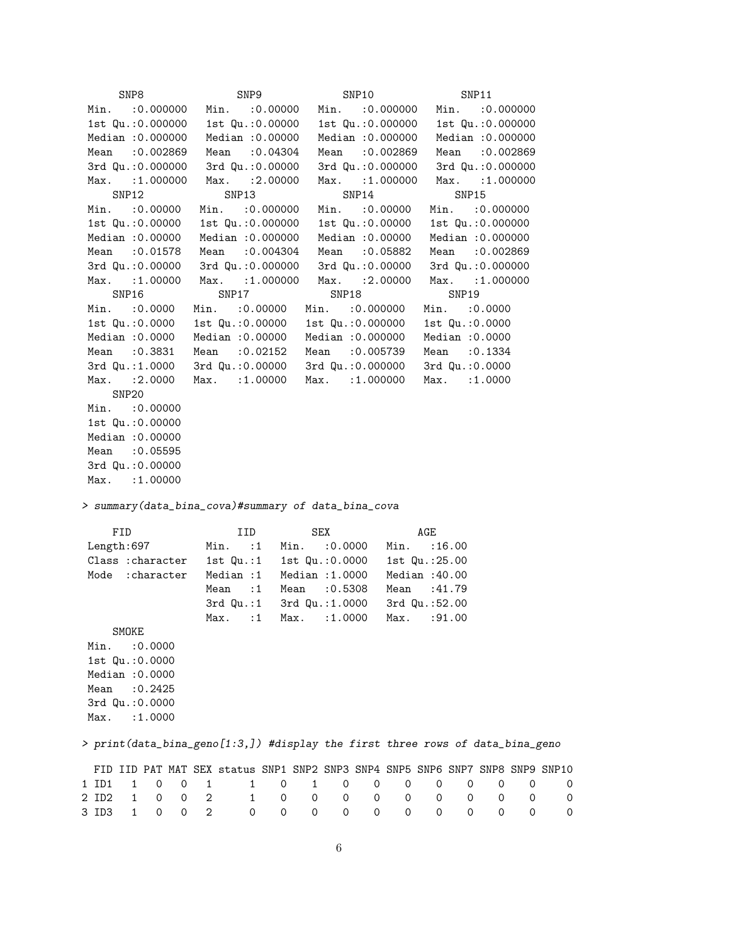| SNP8                            | SNP9                                                | SNP10                   | SNP11                                                                         |   |
|---------------------------------|-----------------------------------------------------|-------------------------|-------------------------------------------------------------------------------|---|
| Min.<br>:0.000000               | Min.<br>:0.00000                                    | Min.<br>:0.000000       | Min.<br>:0.000000                                                             |   |
| 1st Qu.: 0.000000               | 1st Qu.: 0.00000                                    | 1st Qu.: 0.000000       | 1st Qu.: 0.000000                                                             |   |
| Median : 0.000000               | Median : 0.00000                                    | Median : 0.000000       | Median : 0.000000                                                             |   |
| :0.002869<br>Mean               | :0.04304<br>Mean                                    | :0.002869<br>Mean       | Mean : 0.002869                                                               |   |
| 3rd Qu.: 0.000000               | 3rd Qu.: 0.00000                                    | 3rd Qu.: 0.000000       | 3rd Qu.: 0.000000                                                             |   |
|                                 | Max. : 2.00000                                      |                         |                                                                               |   |
| Max. : 1.000000                 |                                                     | Max. : 1.000000         | Max. : 1.000000                                                               |   |
| SNP12                           | SNP13                                               | SNP14                   | SNP15                                                                         |   |
| $Min.$ : 0.00000                | Min.<br>:0.000000                                   | Min. : 0.00000          | Min.<br>: 0.000000                                                            |   |
| 1st Qu.: 0.00000                | 1st Qu.: 0.000000                                   | 1st Qu.: 0.00000        | 1st Qu.: 0.000000                                                             |   |
| Median : 0.00000                | Median : 0.000000                                   | Median : 0.00000        | Median : 0.000000                                                             |   |
| Mean : 0.01578                  | :0.004304<br>Mean                                   | :0.05882<br>Mean        | Mean : 0.002869                                                               |   |
| 3rd Qu.: 0.00000                | 3rd Qu.: 0.000000                                   | 3rd Qu.: 0.00000        | 3rd Qu.: 0.000000                                                             |   |
| Max. : 1.00000                  | Max. : 1.000000                                     | Max. : 2.00000          | Max. : 1.000000                                                               |   |
| SNP16                           | SNP17                                               | SNP18                   | SNP19                                                                         |   |
| Min. : 0.0000                   | :0.00000<br>Min.                                    | Min.<br>:0.000000       | Min.<br>:0.0000                                                               |   |
| 1st Qu.: 0.0000                 | 1st Qu.: 0.00000                                    | 1st Qu.: 0.000000       | 1st Qu.: 0.0000                                                               |   |
| Median : 0.0000                 | Median : 0.00000                                    | Median : 0.000000       | Median : 0.0000                                                               |   |
| Mean : 0.3831                   | Mean : 0.02152                                      | Mean : 0.005739         | Mean : 0.1334                                                                 |   |
| 3rd Qu.: 1.0000                 | 3rd Qu.: 0.00000                                    | 3rd Qu.: 0.000000       | 3rd Qu.: 0.0000                                                               |   |
| Max. : 2.0000                   | Max. : 1.00000                                      | Max. : 1.000000         | Max. : 1.0000                                                                 |   |
|                                 |                                                     |                         |                                                                               |   |
| SNP <sub>20</sub>               |                                                     |                         |                                                                               |   |
| Min.<br>:0.00000                |                                                     |                         |                                                                               |   |
| 1st Qu.: 0.00000                |                                                     |                         |                                                                               |   |
| Median : 0.00000                |                                                     |                         |                                                                               |   |
| Mean : 0.05595                  |                                                     |                         |                                                                               |   |
| 3rd Qu.: 0.00000                |                                                     |                         |                                                                               |   |
| Max. : 1.00000                  |                                                     |                         |                                                                               |   |
|                                 |                                                     |                         |                                                                               |   |
|                                 | > summary(data_bina_cova)#summary of data_bina_cova |                         |                                                                               |   |
|                                 |                                                     |                         |                                                                               |   |
| FID                             | IID                                                 | SEX                     | AGE                                                                           |   |
| Length: 697                     | Min.<br>Min.<br>:1                                  | Min.<br>:0.0000         | :16.00                                                                        |   |
| Class : character               | $1st$ $Qu.:1$                                       | 1st Qu.: 0.0000         | 1st Qu.: 25.00                                                                |   |
| Mode : character                | Median : 1                                          | Median : 1.0000         | Median $:40.00$                                                               |   |
|                                 | :1<br>Mean<br>Mean                                  | :0.5308<br>Mean         | :41.79                                                                        |   |
|                                 | $3rd$ Qu.:1                                         |                         | 3rd Qu.:52.00                                                                 |   |
|                                 | :1                                                  | 3rd Qu.: 1.0000<br>Max. |                                                                               |   |
|                                 | Max.<br>Max.                                        | : 1.0000                | : 91.00                                                                       |   |
| SMOKE                           |                                                     |                         |                                                                               |   |
| Min.<br>: 0.0000                |                                                     |                         |                                                                               |   |
| 1st Qu.: 0.0000                 |                                                     |                         |                                                                               |   |
| Median : 0.0000                 |                                                     |                         |                                                                               |   |
| :0.2425<br>Mean                 |                                                     |                         |                                                                               |   |
| 3rd Qu.: 0.0000                 |                                                     |                         |                                                                               |   |
| Max.<br>:1.0000                 |                                                     |                         |                                                                               |   |
|                                 |                                                     |                         | > print(data_bina_geno[1:3,]) #display the first three rows of data_bina_geno |   |
|                                 |                                                     |                         |                                                                               |   |
|                                 |                                                     |                         | FID IID PAT MAT SEX status SNP1 SNP2 SNP3 SNP4 SNP5 SNP6 SNP7 SNP8 SNP9 SNP10 |   |
| 1 ID1<br>1<br>0<br>0            | 1<br>0<br>1                                         | 1<br>0<br>0<br>0        | 0<br>0<br>0<br>0                                                              | 0 |
| 2 ID2<br>1<br>0<br>0            | 2<br>1<br>0                                         | 0<br>0<br>0<br>0        | 0<br>0<br>0<br>0                                                              | 0 |
| 3 ID3<br>$\mathbf{1}$<br>0<br>0 | 2<br>0<br>0                                         | 0<br>0<br>0<br>0        | 0<br>0<br>0<br>0                                                              | 0 |

6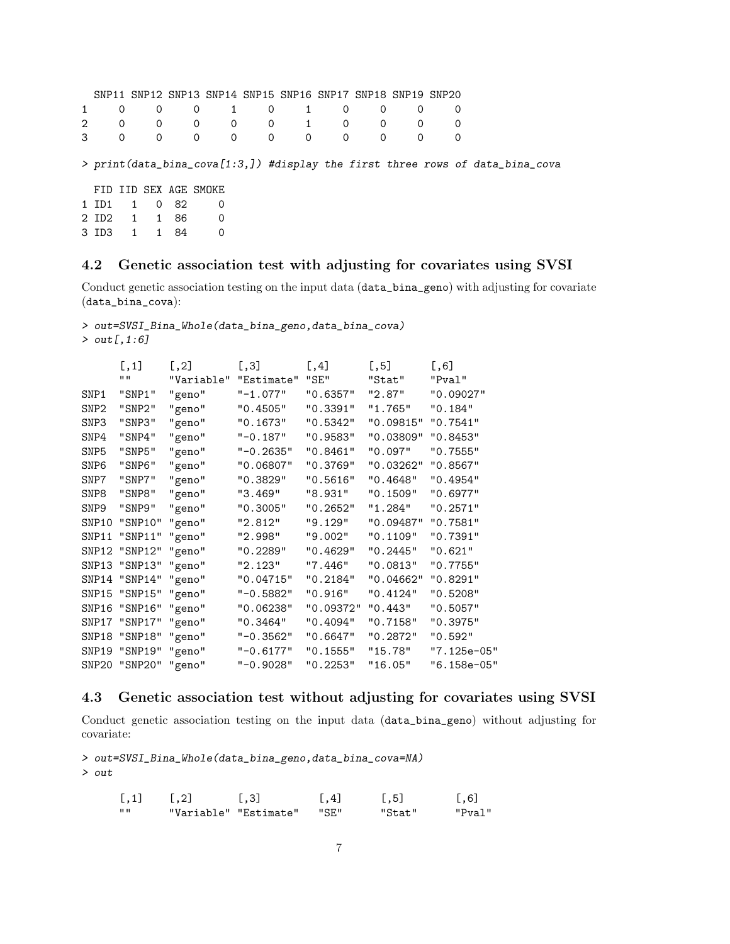|   |                       |                |        |  |           |                | SNP11 SNP12 SNP13 SNP14 SNP15 SNP16 SNP17 SNP18 SNP19 SNP20 |                                                                               |
|---|-----------------------|----------------|--------|--|-----------|----------------|-------------------------------------------------------------|-------------------------------------------------------------------------------|
| 1 | $\Omega$              | $\overline{0}$ |        |  | 0 1 0 1 0 | $\overline{0}$ |                                                             |                                                                               |
|   |                       |                |        |  |           |                | 2 0 0 0 0 0 1 0 0 0 0                                       |                                                                               |
|   |                       |                |        |  |           |                | 3 0 0 0 0 0 0 0 0 0 0                                       |                                                                               |
|   |                       |                |        |  |           |                |                                                             | > print(data_bina_cova[1:3,]) #display the first three rows of data_bina_cova |
|   | FID IID SEX AGE SMOKE |                |        |  |           |                |                                                             |                                                                               |
|   | 1 ID1                 |                | 1 0 82 |  |           |                |                                                             |                                                                               |

### 2 ID2 1 1 86 0 3 ID3 1 1 84 0

### 4.2 Genetic association test with adjusting for covariates using SVSI

Conduct genetic association testing on the input data (data\_bina\_geno) with adjusting for covariate (data\_bina\_cova):

```
> out=SVSI_Bina_Whole(data_bina_geno,data_bina_cova)
> out[,1:6]
```

|                  | [, 1]                | [, 2]      | [,3]         | [,4]      | [, 5]     | [, 6]       |
|------------------|----------------------|------------|--------------|-----------|-----------|-------------|
|                  | 11 H                 | "Variable" | "Estimate"   | "SE"      | "Stat"    | "Pval"      |
| SNP1             | "SNP1"               | "geno"     | $" - 1.077"$ | "0.6357"  | "2.87"    | "0.09027"   |
| SNP <sub>2</sub> | "SNP2"               | "geno"     | "0.4505"     | "0.3391"  | "1.765"   | "0.184"     |
| SNP3             | "SNP3"               | "geno"     | "0.1673"     | "0.5342"  | "0.09815" | "0.7541"    |
| SNP4             | "SNP4"               | "geno"     | $" -0.187"$  | "0.9583"  | "0.03809" | "0.8453"    |
| SNP5             | "SNP5"               | "geno"     | $" -0.2635"$ | "0.8461"  | "0.097"   | "0.7555"    |
| SNP6             | "SNP6"               | "geno"     | "0.06807"    | "0.3769"  | "0.03262" | "0.8567"    |
| SNP7             | "SNP7"               | "geno"     | "0.3829"     | "0.5616"  | "0.4648"  | "0.4954"    |
| SNP8             | "SNP8"               | "geno"     | "3.469"      | "8.931"   | "0.1509"  | "0.6977"    |
| SNP9             | "SNP9"               | "geno"     | "0.3005"     | "0.2652"  | "1.284"   | "0.2571"    |
| SNP10            | "SNP10" "geno"       |            | "2.812"      | "9.129"   | "0.09487" | "0.7581"    |
| SNP11            | "SNP11" "geno"       |            | "2.998"      | "9.002"   | "0.1109"  | "0.7391"    |
|                  | SNP12 "SNP12" "geno" |            | "0.2289"     | "0.4629"  | "0.2445"  | "0.621"     |
|                  | SNP13 "SNP13" "geno" |            | "2.123"      | "7.446"   | "0.0813"  | "0.7755"    |
|                  | SNP14 "SNP14" "geno" |            | "0.04715"    | "0.2184"  | "0.04662" | "0.8291"    |
|                  | SNP15 "SNP15" "geno" |            | $" -0.5882"$ | "0.916"   | "0.4124"  | "0.5208"    |
|                  | SNP16 "SNP16" "geno" |            | "0.06238"    | "0.09372" | "0.443"   | "0.5057"    |
|                  | SNP17 "SNP17" "geno" |            | "0.3464"     | "0.4094"  | "0.7158"  | "0.3975"    |
|                  | SNP18 "SNP18" "geno" |            | "-0.3562"    | "0.6647"  | "0.2872"  | "0.592"     |
|                  | SNP19 "SNP19" "geno" |            | "-0.6177"    | "0.1555"  | "15.78"   | "7.125e-05" |
|                  | SNP20 "SNP20" "geno" |            | $"$ -0.9028" | "0.2253"  | "16.05"   | "6.158e-05" |

### 4.3 Genetic association test without adjusting for covariates using SVSI

Conduct genetic association testing on the input data (data\_bina\_geno) without adjusting for covariate:

> out=SVSI\_Bina\_Whole(data\_bina\_geno,data\_bina\_cova=NA) > out

| [, 1] | $\lceil .2 \rceil$    | $\lceil .3 \rceil$ | $\lceil .4 \rceil$ | $\lceil .5 \rceil$ | $\lceil .6 \rceil$ |
|-------|-----------------------|--------------------|--------------------|--------------------|--------------------|
| 1111  | "Variable" "Estimate" |                    | "SE"               | "Stat"             | "Pval"             |